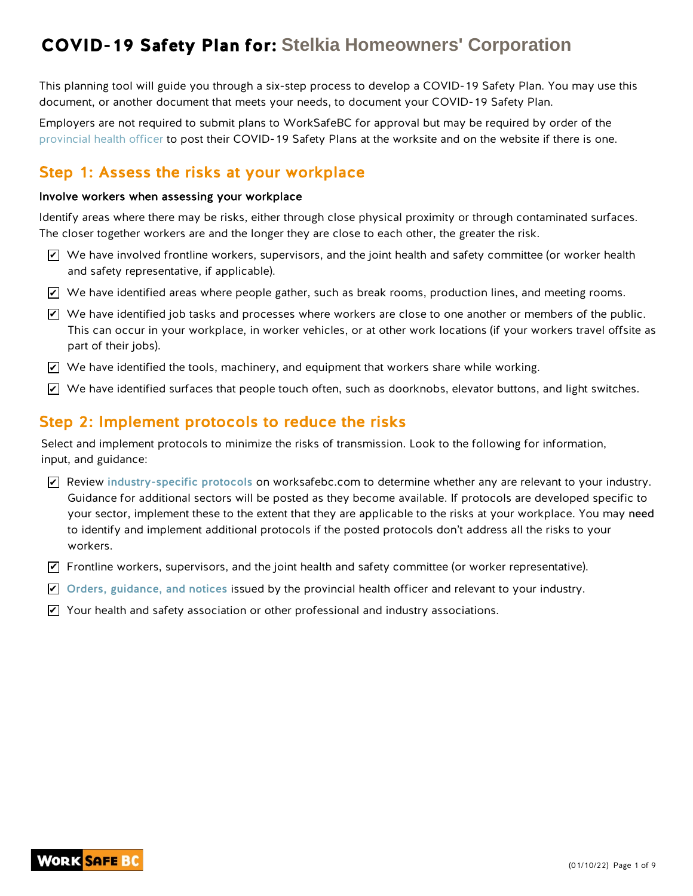This planning tool will guide you through a six-step process to develop a COVID-19 Safety Plan. You may use this document, or another document that meets your needs, to document your COVID-19 Safety Plan.

Employers are not required to submit plans to WorkSafeBC for approval but may be required by order of the provincial health officer to post their COVID-19 Safety Plans at the worksite and on the website if there is one.

### Step 1: Assess the risks at your workplace

#### Involve workers when assessing your workplace

Identify areas where there may be risks, either through close physical proximity or through contaminated surfaces. The closer together workers are and the longer they are close to each other, the greater the risk.

- $\blacktriangleright$  We have involved frontline workers, supervisors, and the joint health and safety committee (or worker health and safety representative, if applicable).
- $\blacktriangleright$  We have identified areas where people gather, such as break rooms, production lines, and meeting rooms.
- $\blacktriangleright$  We have identified job tasks and processes where workers are close to one another or members of the public. This can occur in your workplace, in worker vehicles, or at other work locations (if your workers travel offsite as part of their jobs).
- $\blacktriangleright$  We have identified the tools, machinery, and equipment that workers share while working.
- $\blacktriangleright$  We have identified surfaces that people touch often, such as doorknobs, elevator buttons, and light switches.

### Step 2: Implement protocols to reduce the risks

Select and implement protocols to minimize the risks of transmission. Look to the following for information, input, and guidance:

- $\blacktriangleright$  Review industry-specific protocols on worksafebc.com to determine whether any are relevant to your industry. Guidance for additional sectors will be posted as they become available. If protocols are developed specific to your sector, implement these to the extent that they are applicable to the risks at your workplace. You may need to identify and implement additional protocols if the posted protocols don't address all the risks to your workers.
- $\blacktriangledown$  Frontline workers, supervisors, and the joint health and safety committee (or worker representative).
- $\blacktriangleright$  Orders, guidance, and notices issued by the provincial health officer and relevant to your industry.
- $\blacktriangleright$  Your health and safety association or other professional and industry associations.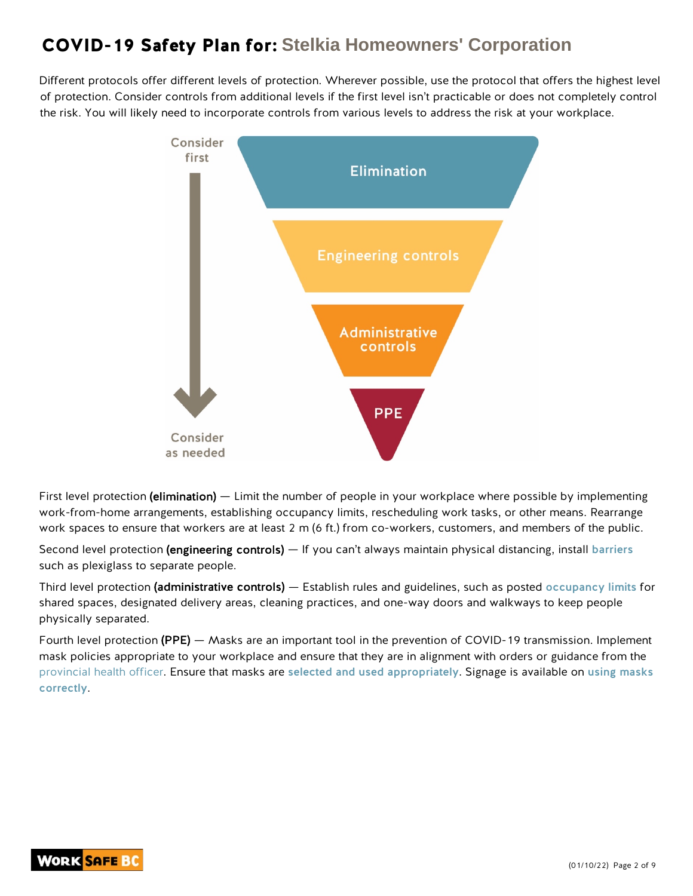Different protocols offer different levels of protection. Wherever possible, use the protocol that offers the highest level of protection. Consider controls from additional levels if the first level isn't practicable or does not completely control the risk. You will likely need to incorporate controls from various levels to address the risk at your workplace.



First level protection (elimination) — Limit the number of people in your workplace where possible by implementing work-from-home arrangements, establishing occupancy limits, rescheduling work tasks, or other means. Rearrange work spaces to ensure that workers are at least 2 m (6 ft.) from co-workers, customers, and members of the public.

Second level protection (engineering controls) — If you can't always maintain physical distancing, install barriers such as plexiglass to separate people.

Third level protection (administrative controls) — Establish rules and guidelines, such as posted occupancy limits for shared spaces, designated delivery areas, cleaning practices, and one-way doors and walkways to keep people physically separated.

Fourth level protection (PPE) — Masks are an important tool in the prevention of COVID-19 transmission. Implement mask policies appropriate to your workplace and ensure that they are in alignment with orders or guidance from the provincial health officer. Ensure that masks are selected and used appropriately. Signage is available on using masks correctly.

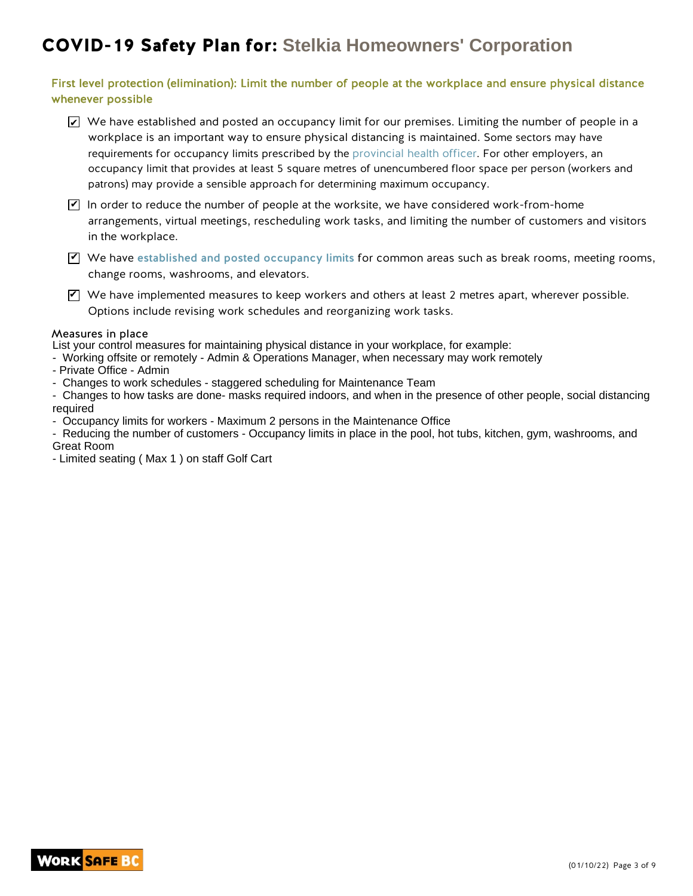#### First level protection (elimination): Limit the number of people at the workplace and ensure physical distance whenever possible

- $\blacktriangleright$  We have established and posted an occupancy limit for our premises. Limiting the number of people in a workplace is an important way to ensure physical distancing is maintained. Some sectors may have requirements for occupancy limits prescribed by the provincial health officer. For other employers, an occupancy limit that provides at least 5 square metres of unencumbered floor space per person (workers and patrons) may provide a sensible approach for determining maximum occupancy.
- $\blacktriangledown$  In order to reduce the number of people at the worksite, we have considered work-from-home arrangements, virtual meetings, rescheduling work tasks, and limiting the number of customers and visitors in the workplace.
- $\Psi$  We have established and posted occupancy limits for common areas such as break rooms, meeting rooms, change rooms, washrooms, and elevators.
- $\blacktriangledown$  We have implemented measures to keep workers and others at least 2 metres apart, wherever possible. Options include revising work schedules and reorganizing work tasks.

#### Measures in place

List your control measures for maintaining physical distance in your workplace, for example:

- Working offsite or remotely Admin & Operations Manager, when necessary may work remotely
- Private Office Admin
- Changes to work schedules staggered scheduling for Maintenance Team

- Changes to how tasks are done- masks required indoors, and when in the presence of other people, social distancing required

- Occupancy limits for workers - Maximum 2 persons in the Maintenance Office

- Reducing the number of customers - Occupancy limits in place in the pool, hot tubs, kitchen, gym, washrooms, and Great Room

- Limited seating ( Max 1 ) on staff Golf Cart

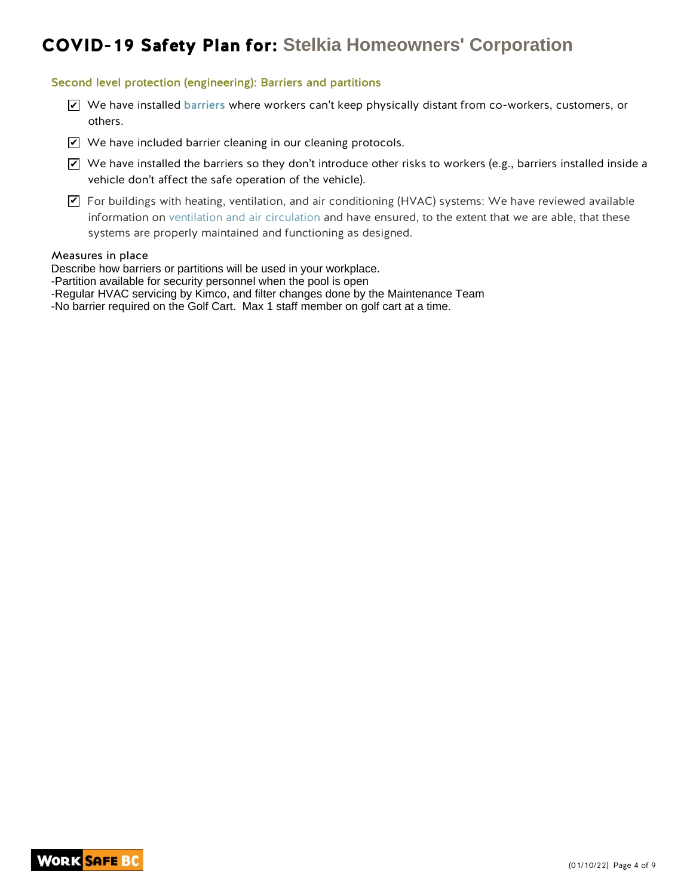#### Second level protection (engineering): Barriers and partitions

- $\blacktriangleright$  We have installed barriers where workers can't keep physically distant from co-workers, customers, or others.
- $\blacktriangleright$  We have included barrier cleaning in our cleaning protocols.
- $\blacktriangleright$  We have installed the barriers so they don't introduce other risks to workers (e.g., barriers installed inside a vehicle don't affect the safe operation of the vehicle).
- $\blacktriangledown$  For buildings with heating, ventilation, and air conditioning (HVAC) systems: We have reviewed available information on ventilation and air circulation and have ensured, to the extent that we are able, that these systems are properly maintained and functioning as designed.

#### Measures in place

Describe how barriers or partitions will be used in your workplace.

- -Partition available for security personnel when the pool is open
- -Regular HVAC servicing by Kimco, and filter changes done by the Maintenance Team

-No barrier required on the Golf Cart. Max 1 staff member on golf cart at a time.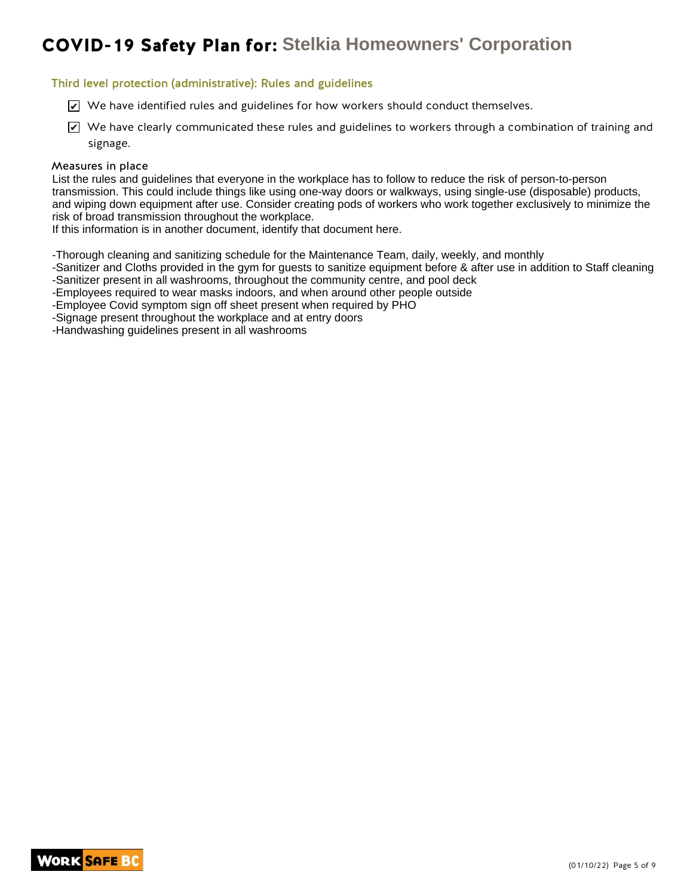#### Third level protection (administrative): Rules and guidelines

- $\blacktriangleright$  We have identified rules and guidelines for how workers should conduct themselves.
- $\blacktriangleright$  We have clearly communicated these rules and guidelines to workers through a combination of training and signage.

#### Measures in place

List the rules and guidelines that everyone in the workplace has to follow to reduce the risk of person-to-person transmission. This could include things like using one-way doors or walkways, using single-use (disposable) products, and wiping down equipment after use. Consider creating pods of workers who work together exclusively to minimize the risk of broad transmission throughout the workplace.

If this information is in another document, identify that document here.

-Thorough cleaning and sanitizing schedule for the Maintenance Team, daily, weekly, and monthly

-Sanitizer and Cloths provided in the gym for guests to sanitize equipment before & after use in addition to Staff cleaning -Sanitizer present in all washrooms, throughout the community centre, and pool deck

-Employees required to wear masks indoors, and when around other people outside

-Employee Covid symptom sign off sheet present when required by PHO

-Signage present throughout the workplace and at entry doors

-Handwashing guidelines present in all washrooms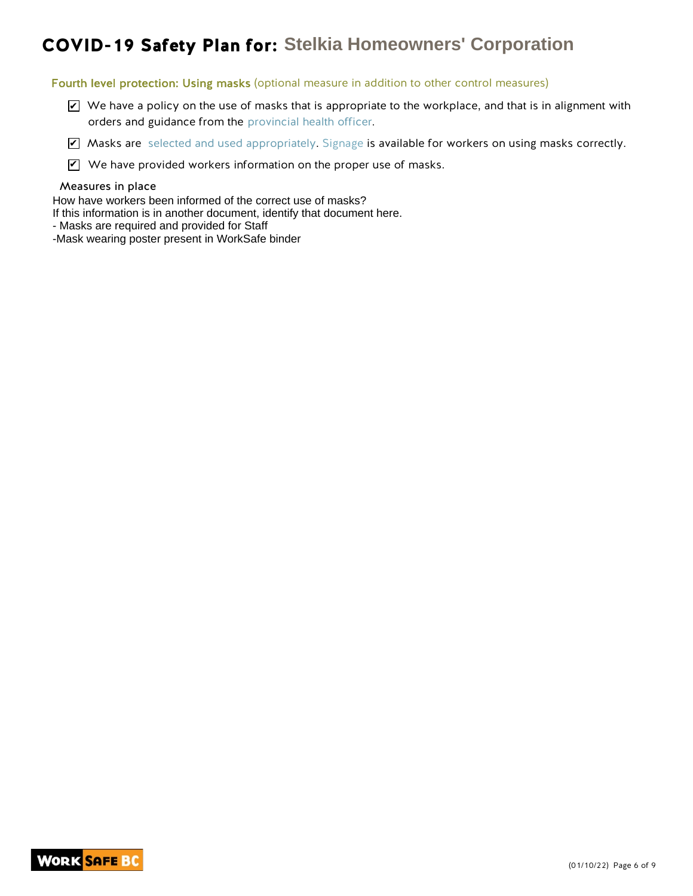#### Fourth level protection: Using masks (optional measure in addition to other control measures)

- $\blacktriangleright$  We have a policy on the use of masks that is appropriate to the workplace, and that is in alignment with orders and guidance from the provincial health officer.
- $\blacktriangledown$  Masks are selected and used appropriately. Signage is available for workers on using masks correctly.
- $\mathbf Z$  We have provided workers information on the proper use of masks.

#### Measures in place

How have workers been informed of the correct use of masks?

If this information is in another document, identify that document here.

- Masks are required and provided for Staff
- -Mask wearing poster present in WorkSafe binder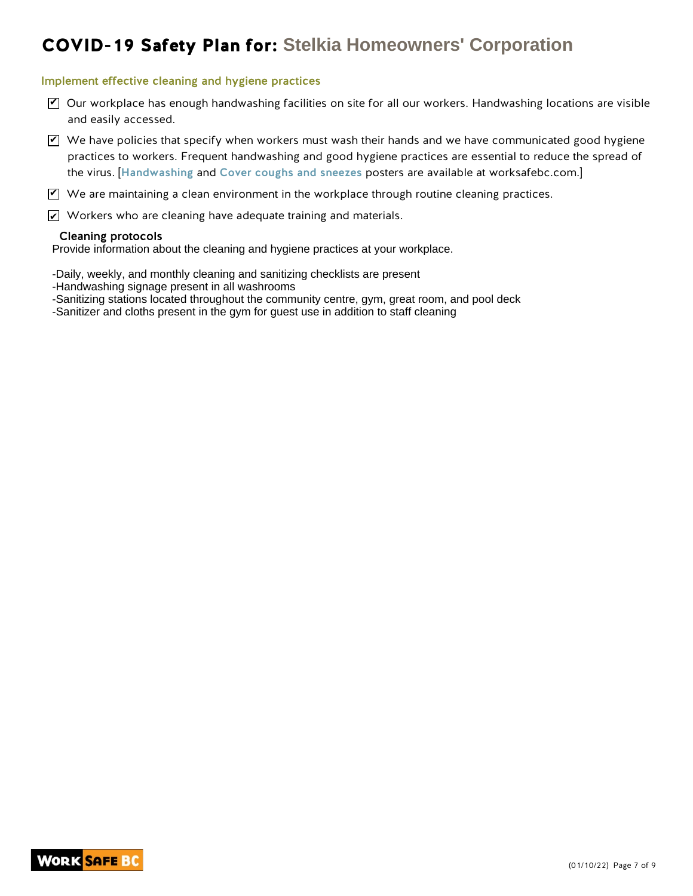#### Implement effective cleaning and hygiene practices

- $\blacktriangledown$  Our workplace has enough handwashing facilities on site for all our workers. Handwashing locations are visible and easily accessed.
- $\blacktriangledown$  We have policies that specify when workers must wash their hands and we have communicated good hygiene practices to workers. Frequent handwashing and good hygiene practices are essential to reduce the spread of the virus. [Handwashing and Cover coughs and sneezes posters are available at worksafebc.com.]

 $\blacktriangledown$  We are maintaining a clean environment in the workplace through routine cleaning practices.

 $\angle\!\!\!\!\perp$  Workers who are cleaning have adequate training and materials.

#### Cleaning protocols

Provide information about the cleaning and hygiene practices at your workplace.

-Daily, weekly, and monthly cleaning and sanitizing checklists are present

- -Handwashing signage present in all washrooms
- -Sanitizing stations located throughout the community centre, gym, great room, and pool deck

-Sanitizer and cloths present in the gym for guest use in addition to staff cleaning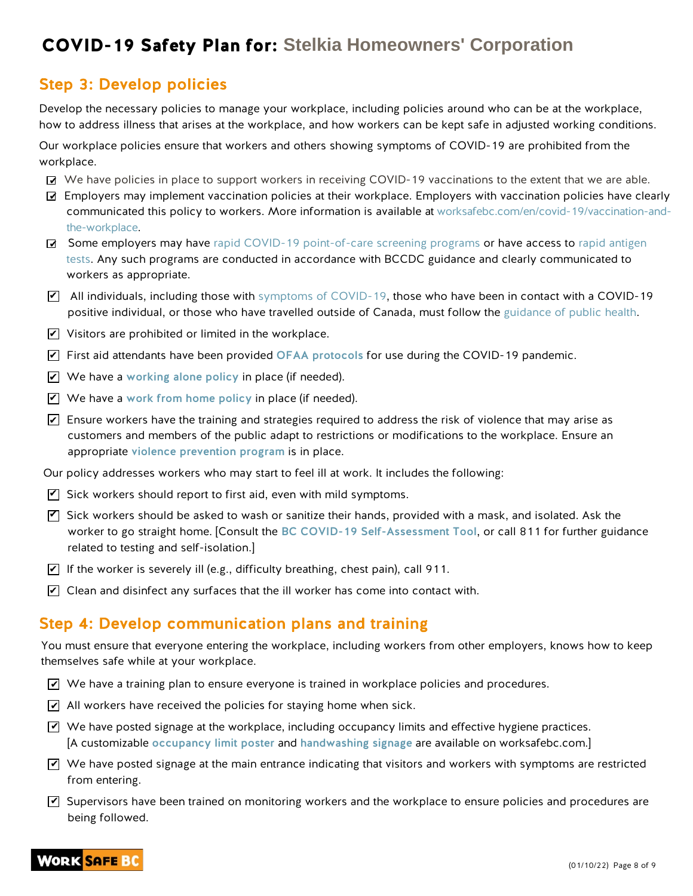### Step 3: Develop policies

Develop the necessary policies to manage your workplace, including policies around who can be at the workplace, how to address illness that arises at the workplace, and how workers can be kept safe in adjusted working conditions.

Our workplace policies ensure that workers and others showing symptoms of COVID-19 are prohibited from the workplace.

- $\vec{z}$  We have policies in place to support workers in receiving COVID-19 vaccinations to the extent that we are able.
- Employers may implement vaccination policies at their workplace. Employers with vaccination policies have clearly communicated this policy to workers. More information is available at worksafebc.com/en/covid-19/vaccination-andthe-workplace.
- Some employers may have rapid COVID-19 point-of-care screening programs or have access to rapid antigen tests. Any such programs are conducted in accordance with BCCDC guidance and clearly communicated to workers as appropriate.
- $\blacktriangledown$  All individuals, including those with symptoms of COVID-19, those who have been in contact with a COVID-19 positive individual, or those who have travelled outside of Canada, must follow the guidance of public health.
- $\blacktriangleright$  Visitors are prohibited or limited in the workplace.
- $\blacktriangleright$  First aid attendants have been provided OFAA protocols for use during the COVID-19 pandemic.
- $\blacktriangleright$  We have a working alone policy in place (if needed).
- $\blacktriangledown$  We have a work from home policy in place (if needed).
- $\blacktriangleright$  Ensure workers have the training and strategies required to address the risk of violence that may arise as customers and members of the public adapt to restrictions or modifications to the workplace. Ensure an appropriate violence prevention program is in place.

Our policy addresses workers who may start to feel ill at work. It includes the following:

- $\mathbf Z$  Sick workers should report to first aid, even with mild symptoms.
- $\blacktriangledown$  Sick workers should be asked to wash or sanitize their hands, provided with a mask, and isolated. Ask the worker to go straight home. [Consult the BC COVID-19 Self-Assessment Tool, or call 811 for further guidance related to testing and self-isolation.]
- $\blacktriangleright$  If the worker is severely ill (e.g., difficulty breathing, chest pain), call 911.
- $\blacktriangleright$  Clean and disinfect any surfaces that the ill worker has come into contact with.

### Step 4: Develop communication plans and training

You must ensure that everyone entering the workplace, including workers from other employers, knows how to keep themselves safe while at your workplace.

- $\blacktriangleleft$  We have a training plan to ensure everyone is trained in workplace policies and procedures.
- $\blacktriangleright$  All workers have received the policies for staying home when sick.
- $\blacktriangledown$  We have posted signage at the workplace, including occupancy limits and effective hygiene practices. [A customizable occupancy limit poster and handwashing signage are available on worksafebc.com.]
- $\blacktriangledown$  We have posted signage at the main entrance indicating that visitors and workers with symptoms are restricted from entering.
- $\blacktriangledown$  Supervisors have been trained on monitoring workers and the workplace to ensure policies and procedures are being followed.

### **WORK SAFE BO**